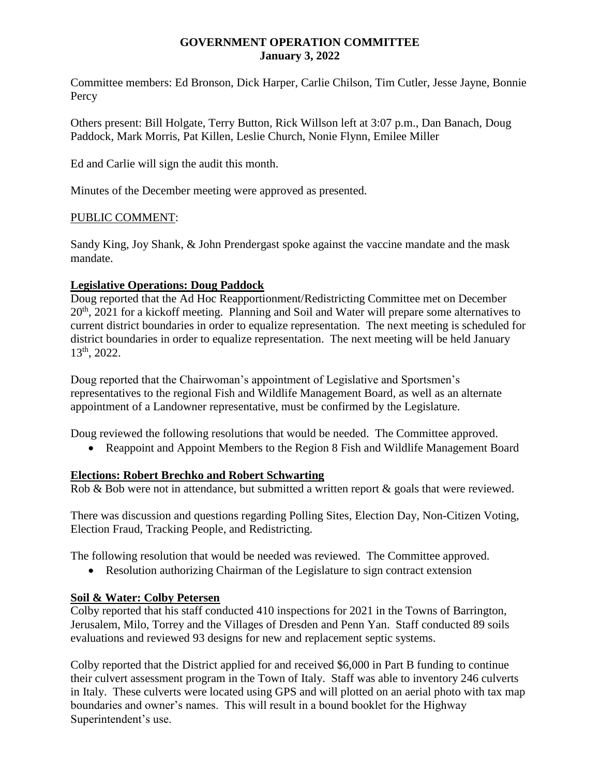#### **GOVERNMENT OPERATION COMMITTEE January 3, 2022**

Committee members: Ed Bronson, Dick Harper, Carlie Chilson, Tim Cutler, Jesse Jayne, Bonnie **Percy** 

Others present: Bill Holgate, Terry Button, Rick Willson left at 3:07 p.m., Dan Banach, Doug Paddock, Mark Morris, Pat Killen, Leslie Church, Nonie Flynn, Emilee Miller

Ed and Carlie will sign the audit this month.

Minutes of the December meeting were approved as presented.

# PUBLIC COMMENT:

Sandy King, Joy Shank, & John Prendergast spoke against the vaccine mandate and the mask mandate.

# **Legislative Operations: Doug Paddock**

Doug reported that the Ad Hoc Reapportionment/Redistricting Committee met on December  $20<sup>th</sup>$ , 2021 for a kickoff meeting. Planning and Soil and Water will prepare some alternatives to current district boundaries in order to equalize representation. The next meeting is scheduled for district boundaries in order to equalize representation. The next meeting will be held January  $13<sup>th</sup>$ , 2022.

Doug reported that the Chairwoman's appointment of Legislative and Sportsmen's representatives to the regional Fish and Wildlife Management Board, as well as an alternate appointment of a Landowner representative, must be confirmed by the Legislature.

Doug reviewed the following resolutions that would be needed. The Committee approved.

Reappoint and Appoint Members to the Region 8 Fish and Wildlife Management Board

### **Elections: Robert Brechko and Robert Schwarting**

Rob & Bob were not in attendance, but submitted a written report & goals that were reviewed.

There was discussion and questions regarding Polling Sites, Election Day, Non-Citizen Voting, Election Fraud, Tracking People, and Redistricting.

The following resolution that would be needed was reviewed. The Committee approved.

Resolution authorizing Chairman of the Legislature to sign contract extension

# **Soil & Water: Colby Petersen**

Colby reported that his staff conducted 410 inspections for 2021 in the Towns of Barrington, Jerusalem, Milo, Torrey and the Villages of Dresden and Penn Yan. Staff conducted 89 soils evaluations and reviewed 93 designs for new and replacement septic systems.

Colby reported that the District applied for and received \$6,000 in Part B funding to continue their culvert assessment program in the Town of Italy. Staff was able to inventory 246 culverts in Italy. These culverts were located using GPS and will plotted on an aerial photo with tax map boundaries and owner's names. This will result in a bound booklet for the Highway Superintendent's use.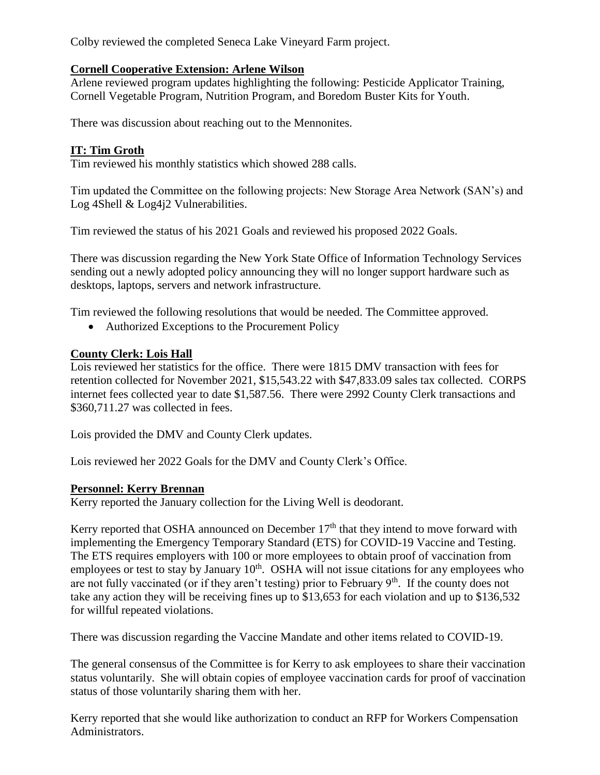Colby reviewed the completed Seneca Lake Vineyard Farm project.

# **Cornell Cooperative Extension: Arlene Wilson**

Arlene reviewed program updates highlighting the following: Pesticide Applicator Training, Cornell Vegetable Program, Nutrition Program, and Boredom Buster Kits for Youth.

There was discussion about reaching out to the Mennonites.

# **IT: Tim Groth**

Tim reviewed his monthly statistics which showed 288 calls.

Tim updated the Committee on the following projects: New Storage Area Network (SAN's) and Log 4Shell & Log4j2 Vulnerabilities.

Tim reviewed the status of his 2021 Goals and reviewed his proposed 2022 Goals.

There was discussion regarding the New York State Office of Information Technology Services sending out a newly adopted policy announcing they will no longer support hardware such as desktops, laptops, servers and network infrastructure.

Tim reviewed the following resolutions that would be needed. The Committee approved.

• Authorized Exceptions to the Procurement Policy

### **County Clerk: Lois Hall**

Lois reviewed her statistics for the office. There were 1815 DMV transaction with fees for retention collected for November 2021, \$15,543.22 with \$47,833.09 sales tax collected. CORPS internet fees collected year to date \$1,587.56. There were 2992 County Clerk transactions and \$360,711.27 was collected in fees.

Lois provided the DMV and County Clerk updates.

Lois reviewed her 2022 Goals for the DMV and County Clerk's Office.

#### **Personnel: Kerry Brennan**

Kerry reported the January collection for the Living Well is deodorant.

Kerry reported that OSHA announced on December  $17<sup>th</sup>$  that they intend to move forward with implementing the Emergency Temporary Standard (ETS) for COVID-19 Vaccine and Testing. The ETS requires employers with 100 or more employees to obtain proof of vaccination from employees or test to stay by January  $10<sup>th</sup>$ . OSHA will not issue citations for any employees who are not fully vaccinated (or if they aren't testing) prior to February  $9<sup>th</sup>$ . If the county does not take any action they will be receiving fines up to \$13,653 for each violation and up to \$136,532 for willful repeated violations.

There was discussion regarding the Vaccine Mandate and other items related to COVID-19.

The general consensus of the Committee is for Kerry to ask employees to share their vaccination status voluntarily. She will obtain copies of employee vaccination cards for proof of vaccination status of those voluntarily sharing them with her.

Kerry reported that she would like authorization to conduct an RFP for Workers Compensation Administrators.